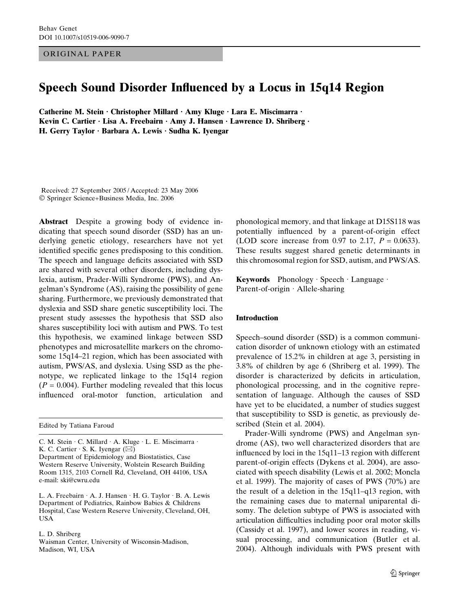### ORIGINAL PAPER

# Speech Sound Disorder Influenced by a Locus in 15q14 Region

Catherine M. Stein · Christopher Millard · Amy Kluge · Lara E. Miscimarra · Kevin C. Cartier  $\cdot$  Lisa A. Freebairn  $\cdot$  Amy J. Hansen  $\cdot$  Lawrence D. Shriberg  $\cdot$ H. Gerry Taylor  $\cdot$  Barbara A. Lewis  $\cdot$  Sudha K. Iyengar

Received: 27 September 2005 / Accepted: 23 May 2006 Springer Science+Business Media, Inc. 2006

Abstract Despite a growing body of evidence indicating that speech sound disorder (SSD) has an underlying genetic etiology, researchers have not yet identified specific genes predisposing to this condition. The speech and language deficits associated with SSD are shared with several other disorders, including dyslexia, autism, Prader-Willi Syndrome (PWS), and Angelman's Syndrome (AS), raising the possibility of gene sharing. Furthermore, we previously demonstrated that dyslexia and SSD share genetic susceptibility loci. The present study assesses the hypothesis that SSD also shares susceptibility loci with autism and PWS. To test this hypothesis, we examined linkage between SSD phenotypes and microsatellite markers on the chromosome 15q14–21 region, which has been associated with autism, PWS/AS, and dyslexia. Using SSD as the phenotype, we replicated linkage to the 15q14 region  $(P = 0.004)$ . Further modeling revealed that this locus influenced oral-motor function, articulation and

Edited by Tatiana Faroud

C. M. Stein · C. Millard · A. Kluge · L. E. Miscimarra · K. C. Cartier  $\cdot$  S. K. Iyengar ( $\boxtimes$ )

Department of Epidemiology and Biostatistics, Case Western Reserve University, Wolstein Research Building Room 1315, 2103 Cornell Rd, Cleveland, OH 44106, USA e-mail: ski@cwru.edu

L. A. Freebairn  $\cdot$  A. J. Hansen  $\cdot$  H. G. Taylor  $\cdot$  B. A. Lewis Department of Pediatrics, Rainbow Babies & Childrens Hospital, Case Western Reserve University, Cleveland, OH, USA

L. D. Shriberg

Waisman Center, University of Wisconsin-Madison, Madison, WI, USA

phonological memory, and that linkage at D15S118 was potentially influenced by a parent-of-origin effect (LOD score increase from 0.97 to 2.17,  $P = 0.0633$ ). These results suggest shared genetic determinants in this chromosomal region for SSD, autism, and PWS/AS.

Keywords Phonology · Speech · Language · Parent-of-origin  $\cdot$  Allele-sharing

#### Introduction

Speech–sound disorder (SSD) is a common communication disorder of unknown etiology with an estimated prevalence of 15.2% in children at age 3, persisting in 3.8% of children by age 6 (Shriberg et al. 1999). The disorder is characterized by deficits in articulation, phonological processing, and in the cognitive representation of language. Although the causes of SSD have yet to be elucidated, a number of studies suggest that susceptibility to SSD is genetic, as previously described (Stein et al. 2004).

Prader-Willi syndrome (PWS) and Angelman syndrome (AS), two well characterized disorders that are influenced by loci in the 15q11–13 region with different parent-of-origin effects (Dykens et al. 2004), are associated with speech disability (Lewis et al. 2002; Moncla et al. 1999). The majority of cases of PWS (70%) are the result of a deletion in the 15q11–q13 region, with the remaining cases due to maternal uniparental disomy. The deletion subtype of PWS is associated with articulation difficulties including poor oral motor skills (Cassidy et al. 1997), and lower scores in reading, visual processing, and communication (Butler et al. 2004). Although individuals with PWS present with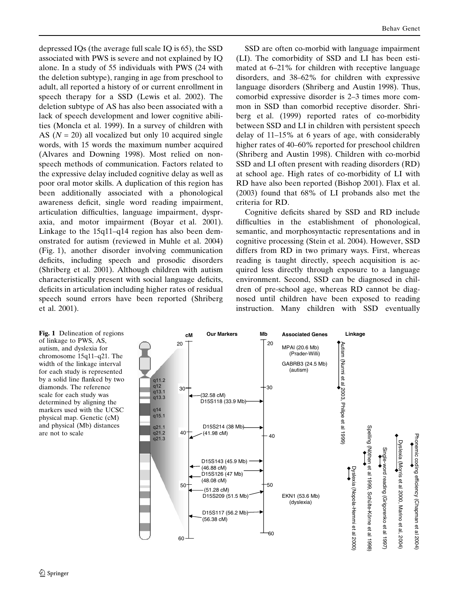depressed IQs (the average full scale IQ is 65), the SSD associated with PWS is severe and not explained by IQ alone. In a study of 55 individuals with PWS (24 with the deletion subtype), ranging in age from preschool to adult, all reported a history of or current enrollment in speech therapy for a SSD (Lewis et al. 2002). The deletion subtype of AS has also been associated with a lack of speech development and lower cognitive abilities (Moncla et al. 1999). In a survey of children with AS ( $N = 20$ ) all vocalized but only 10 acquired single words, with 15 words the maximum number acquired (Alvares and Downing 1998). Most relied on nonspeech methods of communication. Factors related to the expressive delay included cognitive delay as well as poor oral motor skills. A duplication of this region has been additionally associated with a phonological awareness deficit, single word reading impairment, articulation difficulties, language impairment, dyspraxia, and motor impairment (Boyar et al. 2001). Linkage to the 15q11–q14 region has also been demonstrated for autism (reviewed in Muhle et al. 2004) (Fig. 1), another disorder involving communication deficits, including speech and prosodic disorders (Shriberg et al. 2001). Although children with autism characteristically present with social language deficits, deficits in articulation including higher rates of residual speech sound errors have been reported (Shriberg et al. 2001).

SSD are often co-morbid with language impairment (LI). The comorbidity of SSD and LI has been estimated at 6–21% for children with receptive language disorders, and 38–62% for children with expressive language disorders (Shriberg and Austin 1998). Thus, comorbid expressive disorder is 2–3 times more common in SSD than comorbid receptive disorder. Shriberg et al. (1999) reported rates of co-morbidity between SSD and LI in children with persistent speech delay of 11–15% at 6 years of age, with considerably higher rates of 40–60% reported for preschool children (Shriberg and Austin 1998). Children with co-morbid SSD and LI often present with reading disorders (RD) at school age. High rates of co-morbidity of LI with RD have also been reported (Bishop 2001). Flax et al. (2003) found that 68% of LI probands also met the criteria for RD.

Cognitive deficits shared by SSD and RD include difficulties in the establishment of phonological, semantic, and morphosyntactic representations and in cognitive processing (Stein et al. 2004). However, SSD differs from RD in two primary ways. First, whereas reading is taught directly, speech acquisition is acquired less directly through exposure to a language environment. Second, SSD can be diagnosed in children of pre-school age, whereas RD cannot be diagnosed until children have been exposed to reading instruction. Many children with SSD eventually

Fig. 1 Delineation of regions of linkage to PWS, AS, autism, and dyslexia for chromosome 15q11–q21. The width of the linkage interval for each study is represented by a solid line flanked by two diamonds. The reference scale for each study was determined by aligning the markers used with the UCSC physical map. Genetic (cM) and physical (Mb) distances are not to scale

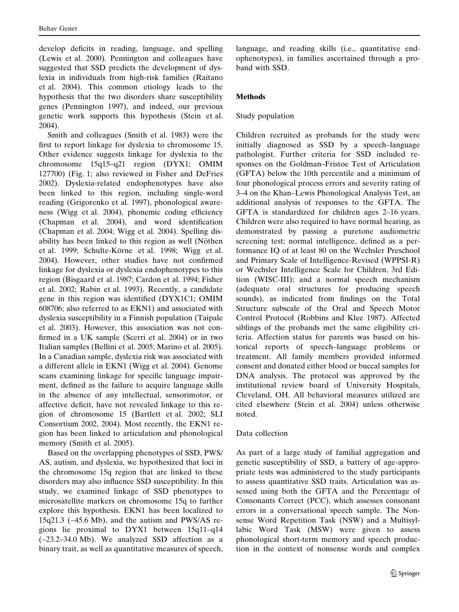develop deficits in reading, language, and spelling (Lewis et al. 2000). Pennington and colleagues have suggested that SSD predicts the development of dyslexia in individuals from high-risk families (Raitano et al. 2004). This common etiology leads to the hypothesis that the two disorders share susceptibility genes (Pennington 1997), and indeed, our previous genetic work supports this hypothesis (Stein et al. 2004).

Smith and colleagues (Smith et al. 1983) were the first to report linkage for dyslexia to chromosome 15. Other evidence suggests linkage for dyslexia to the chromosome 15q15–q21 region (DYX1; OMIM 127700) (Fig. 1; also reviewed in Fisher and DeFries 2002). Dyslexia-related endophenotypes have also been linked to this region, including single-word reading (Grigorenko et al. 1997), phonological awareness (Wigg et al. 2004), phonemic coding efficiency (Chapman et al. 2004), and word identification (Chapman et al. 2004; Wigg et al. 2004). Spelling disability has been linked to this region as well (Nöthen et al. 1999; Schulte-Körne et al. 1998; Wigg et al. 2004). However, other studies have not confirmed linkage for dyslexia or dyslexia endophenotypes to this region (Bisgaard et al. 1987; Cardon et al. 1994; Fisher et al. 2002; Rabin et al. 1993). Recently, a candidate gene in this region was identified (DYX1C1; OMIM 608706; also referred to as EKN1) and associated with dyslexia susceptibility in a Finnish population (Taipale et al. 2003). However, this association was not confirmed in a UK sample (Scerri et al. 2004) or in two Italian samples (Bellini et al. 2005; Marino et al. 2005). In a Canadian sample, dyslexia risk was associated with a different allele in EKN1 (Wigg et al. 2004). Genome scans examining linkage for specific language impairment, defined as the failure to acquire language skills in the absence of any intellectual, sensorimotor, or affective deficit, have not revealed linkage to this region of chromosome 15 (Bartlett et al. 2002; SLI Consortium 2002, 2004). Most recently, the EKN1 region has been linked to articulation and phonological memory (Smith et al. 2005).

Based on the overlapping phenotypes of SSD, PWS/ AS, autism, and dyslexia, we hypothesized that loci in the chromosome 15q region that are linked to these disorders may also influence SSD susceptibility. In this study, we examined linkage of SSD phenotypes to microsatellite markers on chromosome 15q to further explore this hypothesis. EKN1 has been localized to 15q21.3 (~45.6 Mb), and the autism and PWS/AS regions lie proximal to DYX1 between 15q11–q14 (~23.2–34.0 Mb). We analyzed SSD affection as a binary trait, as well as quantitative measures of speech,

language, and reading skills (i.e., quantitative endophenotypes), in families ascertained through a proband with SSD.

## Methods

# Study population

Children recruited as probands for the study were initially diagnosed as SSD by a speech–language pathologist. Further criteria for SSD included responses on the Goldman–Fristoe Test of Articulation (GFTA) below the 10th percentile and a minimum of four phonological process errors and severity rating of 3–4 on the Khan–Lewis Phonological Analysis Test, an additional analysis of responses to the GFTA. The GFTA is standardized for children ages 2–16 years. Children were also required to have normal hearing, as demonstrated by passing a puretone audiometric screening test; normal intelligence, defined as a performance IQ of at least 80 on the Wechsler Preschool and Primary Scale of Intelligence-Revised (WPPSI-R) or Wechsler Intelligence Scale for Children, 3rd Edition (WISC-III); and a normal speech mechanism (adequate oral structures for producing speech sounds), as indicated from findings on the Total Structure subscale of the Oral and Speech Motor Control Protocol (Robbins and Klee 1987). Affected siblings of the probands met the same eligibility criteria. Affection status for parents was based on historical reports of speech–language problems or treatment. All family members provided informed consent and donated either blood or buccal samples for DNA analysis. The protocol was approved by the institutional review board of University Hospitals, Cleveland, OH. All behavioral measures utilized are cited elsewhere (Stein et al. 2004) unless otherwise noted.

## Data collection

As part of a large study of familial aggregation and genetic susceptibility of SSD, a battery of age-appropriate tests was administered to the study participants to assess quantitative SSD traits. Articulation was assessed using both the GFTA and the Percentage of Consonants Correct (PCC), which assesses consonant errors in a conversational speech sample. The Nonsense Word Repetition Task (NSW) and a Multisyllabic Word Task (MSW) were given to assess phonological short-term memory and speech production in the context of nonsense words and complex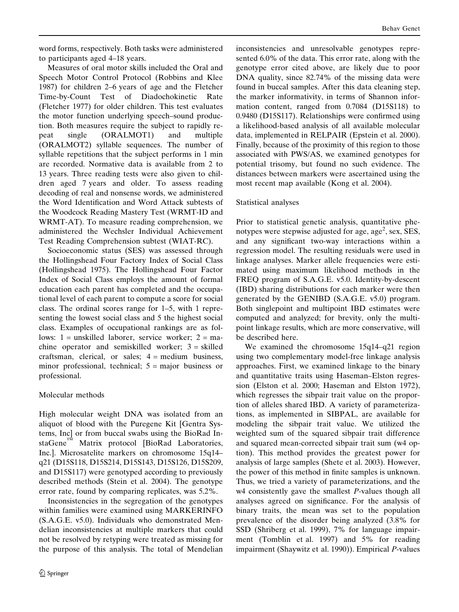to participants aged 4–18 years. Measures of oral motor skills included the Oral and Speech Motor Control Protocol (Robbins and Klee 1987) for children 2–6 years of age and the Fletcher Time-by-Count Test of Diadochokinetic Rate (Fletcher 1977) for older children. This test evaluates the motor function underlying speech–sound production. Both measures require the subject to rapidly repeat single (ORALMOT1) and multiple (ORALMOT2) syllable sequences. The number of syllable repetitions that the subject performs in 1 min are recorded. Normative data is available from 2 to 13 years. Three reading tests were also given to children aged 7 years and older. To assess reading decoding of real and nonsense words, we administered the Word Identification and Word Attack subtests of the Woodcock Reading Mastery Test (WRMT-ID and WRMT-AT). To measure reading comprehension, we administered the Wechsler Individual Achievement Test Reading Comprehension subtest (WIAT-RC).

Socioeconomic status (SES) was assessed through the Hollingshead Four Factory Index of Social Class (Hollingshead 1975). The Hollingshead Four Factor Index of Social Class employs the amount of formal education each parent has completed and the occupational level of each parent to compute a score for social class. The ordinal scores range for 1–5, with 1 representing the lowest social class and 5 the highest social class. Examples of occupational rankings are as follows: 1 = unskilled laborer, service worker; 2 = machine operator and semiskilled worker; 3 = skilled craftsman, clerical, or sales;  $4 = \text{medium business}$ , minor professional, technical;  $5 = \text{major}$  business or professional.

# Molecular methods

High molecular weight DNA was isolated from an aliquot of blood with the Puregene Kit [Gentra Systems, Inc] or from buccal swabs using the BioRad InstaGene<sup>1M</sup> Matrix protocol [BioRad Laboratories, Inc.]. Microsatelite markers on chromosome 15q14– q21 (D15S118, D15S214, D15S143, D15S126, D15S209, and D15S117) were genotyped according to previously described methods (Stein et al. 2004). The genotype error rate, found by comparing replicates, was 5.2%.

Inconsistencies in the segregation of the genotypes within families were examined using MARKERINFO (S.A.G.E. v5.0). Individuals who demonstrated Mendelian inconsistencies at multiple markers that could not be resolved by retyping were treated as missing for the purpose of this analysis. The total of Mendelian inconsistencies and unresolvable genotypes represented 6.0% of the data. This error rate, along with the genotype error cited above, are likely due to poor DNA quality, since 82.74% of the missing data were found in buccal samples. After this data cleaning step, the marker informativity, in terms of Shannon information content, ranged from 0.7084 (D15S118) to 0.9480 (D15S117). Relationships were confirmed using a likelihood-based analysis of all available molecular data, implemented in RELPAIR (Epstein et al. 2000). Finally, because of the proximity of this region to those associated with PWS/AS, we examined genotypes for potential trisomy, but found no such evidence. The distances between markers were ascertained using the most recent map available (Kong et al. 2004).

# Statistical analyses

Prior to statistical genetic analysis, quantitative phenotypes were stepwise adjusted for age, age<sup>2</sup>, sex, SES, and any significant two-way interactions within a regression model. The resulting residuals were used in linkage analyses. Marker allele frequencies were estimated using maximum likelihood methods in the FREQ program of S.A.G.E. v5.0. Identity-by-descent (IBD) sharing distributions for each marker were then generated by the GENIBD (S.A.G.E. v5.0) program. Both singlepoint and multipoint IBD estimates were computed and analyzed; for brevity, only the multipoint linkage results, which are more conservative, will be described here.

We examined the chromosome 15q14–q21 region using two complementary model-free linkage analysis approaches. First, we examined linkage to the binary and quantitative traits using Haseman–Elston regression (Elston et al. 2000; Haseman and Elston 1972), which regresses the sibpair trait value on the proportion of alleles shared IBD. A variety of parameterizations, as implemented in SIBPAL, are available for modeling the sibpair trait value. We utilized the weighted sum of the squared sibpair trait difference and squared mean-corrected sibpair trait sum (w4 option). This method provides the greatest power for analysis of large samples (Shete et al. 2003). However, the power of this method in finite samples is unknown. Thus, we tried a variety of parameterizations, and the w4 consistently gave the smallest *P*-values though all analyses agreed on significance. For the analysis of binary traits, the mean was set to the population prevalence of the disorder being analyzed (3.8% for SSD (Shriberg et al. 1999), 7% for language impairment (Tomblin et al. 1997) and 5% for reading impairment (Shaywitz et al. 1990)). Empirical P-values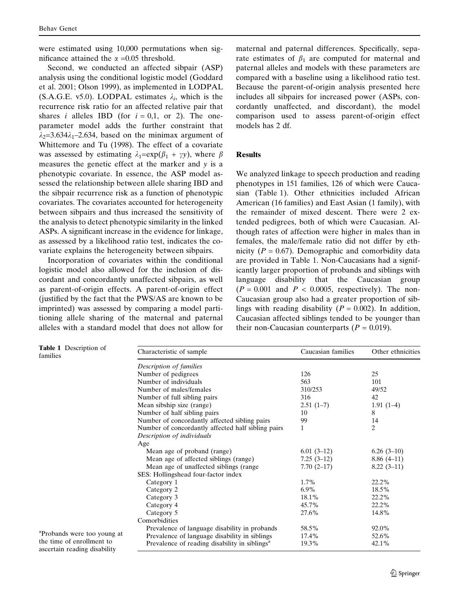were estimated using 10,000 permutations when significance attained the  $\alpha$  =0.05 threshold.

Second, we conducted an affected sibpair (ASP) analysis using the conditional logistic model (Goddard et al. 2001; Olson 1999), as implemented in LODPAL (S.A.G.E. v5.0). LODPAL estimates  $\lambda_i$ , which is the recurrence risk ratio for an affected relative pair that shares *i* alleles IBD (for  $i = 0.1$ , or 2). The oneparameter model adds the further constraint that  $\lambda_2$ =3.634 $\lambda_1$ –2.634, based on the minimax argument of Whittemore and Tu (1998). The effect of a covariate was assessed by estimating  $\lambda_1=\exp(\beta_1 + \gamma y)$ , where  $\beta$ measures the genetic effect at the marker and y is a phenotypic covariate. In essence, the ASP model assessed the relationship between allele sharing IBD and the sibpair recurrence risk as a function of phenotypic covariates. The covariates accounted for heterogeneity between sibpairs and thus increased the sensitivity of the analysis to detect phenotypic similarity in the linked ASPs. A significant increase in the evidence for linkage, as assessed by a likelihood ratio test, indicates the covariate explains the heterogeneity between sibpairs.

Incorporation of covariates within the conditional logistic model also allowed for the inclusion of discordant and concordantly unaffected sibpairs, as well as parent-of-origin effects. A parent-of-origin effect (justified by the fact that the PWS/AS are known to be imprinted) was assessed by comparing a model partitioning allele sharing of the maternal and paternal alleles with a standard model that does not allow for

maternal and paternal differences. Specifically, separate estimates of  $\beta_1$  are computed for maternal and paternal alleles and models with these parameters are compared with a baseline using a likelihood ratio test. Because the parent-of-origin analysis presented here includes all sibpairs for increased power (ASPs, concordantly unaffected, and discordant), the model comparison used to assess parent-of-origin effect models has 2 df.

#### Results

We analyzed linkage to speech production and reading phenotypes in 151 families, 126 of which were Caucasian (Table 1). Other ethnicities included African American (16 families) and East Asian (1 family), with the remainder of mixed descent. There were 2 extended pedigrees, both of which were Caucasian. Although rates of affection were higher in males than in females, the male/female ratio did not differ by ethnicity ( $P = 0.67$ ). Demographic and comorbidity data are provided in Table 1. Non-Caucasians had a significantly larger proportion of probands and siblings with language disability that the Caucasian group  $(P = 0.001$  and  $P < 0.0005$ , respectively). The non-Caucasian group also had a greater proportion of siblings with reading disability ( $P = 0.002$ ). In addition, Caucasian affected siblings tended to be younger than their non-Caucasian counterparts  $(P = 0.019)$ .

| Characteristic of sample                                  | Caucasian families | Other ethnicities |  |
|-----------------------------------------------------------|--------------------|-------------------|--|
| Description of families                                   |                    |                   |  |
| Number of pedigrees                                       | 126                | 25                |  |
| Number of individuals                                     | 563                | 101               |  |
| Number of males/females                                   | 310/253            | 49/52             |  |
| Number of full sibling pairs                              | 316                | 42                |  |
| Mean sibship size (range)                                 | $2.51(1-7)$        | $1.91(1-4)$       |  |
| Number of half sibling pairs                              | 10                 | 8                 |  |
| Number of concordantly affected sibling pairs             | 99                 | 14                |  |
| Number of concordantly affected half sibling pairs        | 1                  | $\overline{2}$    |  |
| Description of individuals                                |                    |                   |  |
| Age                                                       |                    |                   |  |
| Mean age of proband (range)                               | $6.01(3-12)$       | $6.26(3-10)$      |  |
| Mean age of affected siblings (range)                     | $7.25(3-12)$       | $8.86(4-11)$      |  |
| Mean age of unaffected siblings (range                    | $7.70(2-17)$       | $8.22(3-11)$      |  |
| SES: Hollingshead four-factor index                       |                    |                   |  |
| Category 1                                                | $1.7\%$            | 22.2%             |  |
| Category 2                                                | $6.9\%$            | 18.5%             |  |
| Category 3                                                | 18.1%              | 22.2%             |  |
| Category 4                                                | 45.7%              | 22.2%             |  |
| Category 5                                                | 27.6%              | 14.8%             |  |
| Comorbidities                                             |                    |                   |  |
| Prevalence of language disability in probands             | 58.5%              | 92.0%             |  |
| Prevalence of language disability in siblings             | 17.4%              | 52.6%             |  |
| Prevalence of reading disability in siblings <sup>a</sup> | 19.3%              | 42.1%             |  |
|                                                           |                    |                   |  |

<sup>a</sup>Probands were too young at the time of enrollment to ascertain reading disability

Table 1 Description of

families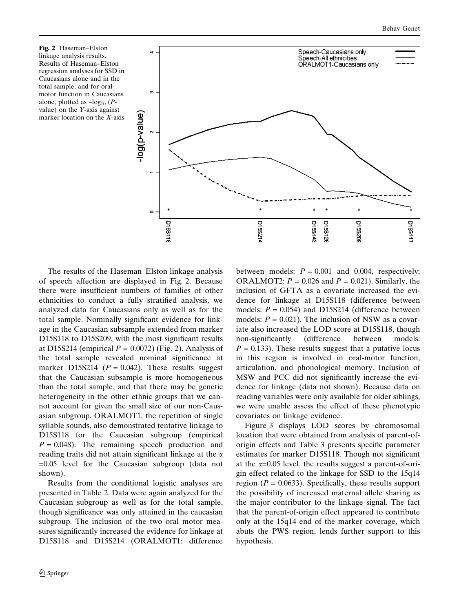Fig. 2 Haseman–Elston linkage analysis results. Results of Haseman–Elston regression analyses for SSD in Caucasians alone and in the total sample, and for oralmotor function in Caucasians alone, plotted as  $-log_{10} (P$ value) on the Y-axis against marker location on the X-axis



The results of the Haseman–Elston linkage analysis of speech affection are displayed in Fig. 2. Because there were insufficient numbers of families of other ethnicities to conduct a fully stratified analysis, we analyzed data for Caucasians only as well as for the total sample. Nominally significant evidence for linkage in the Caucasian subsample extended from marker D15S118 to D15S209, with the most significant results at D15S214 (empirical  $P = 0.0072$ ) (Fig. 2). Analysis of the total sample revealed nominal significance at marker D15S214 ( $P = 0.042$ ). These results suggest that the Caucasian subsample is more homogeneous than the total sample, and that there may be genetic heterogeneity in the other ethnic groups that we cannot account for given the small size of our non-Causasian subgroup. ORALMOT1, the repetition of single syllable sounds, also demonstrated tentative linkage to D15S118 for the Caucasian subgroup (empirical  $P = 0.048$ ). The remaining speech production and reading traits did not attain significant linkage at the  $\alpha$ =0.05 level for the Caucasian subgroup (data not shown).

Results from the conditional logistic analyses are presented in Table 2. Data were again analyzed for the Caucasian subgroup as well as for the total sample, though significance was only attained in the caucasian subgroup. The inclusion of the two oral motor measures significantly increased the evidence for linkage at D15S118 and D15S214 (ORALMOT1: difference between models:  $P = 0.001$  and 0.004, respectively; ORALMOT2:  $P = 0.026$  and  $P = 0.021$ ). Similarly, the inclusion of GFTA as a covariate increased the evidence for linkage at D15S118 (difference between models:  $P = 0.054$ ) and D15S214 (difference between models:  $P = 0.021$ ). The inclusion of NSW as a covariate also increased the LOD score at D15S118, though non-significantly (difference between models:  $P = 0.133$ ). These results suggest that a putative locus in this region is involved in oral-motor function, articulation, and phonological memory. Inclusion of MSW and PCC did not significantly increase the evidence for linkage (data not shown). Because data on reading variables were only available for older siblings, we were unable assess the effect of these phenotypic covariates on linkage evidence.

Figure 3 displays LOD scores by chromosomal location that were obtained from analysis of parent-oforigin effects and Table 3 presents specific parameter estimates for marker D15S118. Though not significant at the  $\alpha$ =0.05 level, the results suggest a parent-of-origin effect related to the linkage for SSD to the 15q14 region ( $P = 0.0633$ ). Specifically, these results support the possibility of increased maternal allele sharing as the major contributor to the linkage signal. The fact that the parent-of-origin effect appeared to contribute only at the 15q14 end of the marker coverage, which abuts the PWS region, lends further support to this hypothesis.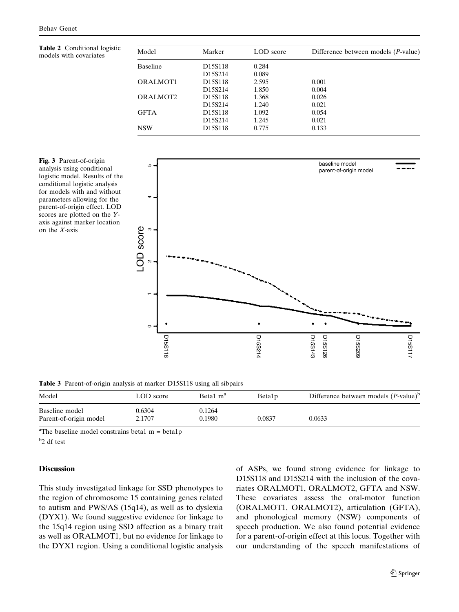Table 2 Conditional logistic models with covariates

| Model                | Marker                           | LOD score | Difference between models $(P$ -value) |
|----------------------|----------------------------------|-----------|----------------------------------------|
| <b>Baseline</b>      | D <sub>15</sub> S <sub>118</sub> | 0.284     |                                        |
|                      | D <sub>15</sub> S <sub>214</sub> | 0.089     |                                        |
| ORALMOT1             | D <sub>15</sub> S <sub>118</sub> | 2.595     | 0.001                                  |
|                      | D15S214                          | 1.850     | 0.004                                  |
| ORALMOT <sub>2</sub> | D <sub>15</sub> S <sub>118</sub> | 1.368     | 0.026                                  |
|                      | D <sub>15</sub> S <sub>214</sub> | 1.240     | 0.021                                  |
| <b>GFTA</b>          | D <sub>15</sub> S <sub>118</sub> | 1.092     | 0.054                                  |
|                      | D <sub>15</sub> S <sub>214</sub> | 1.245     | 0.021                                  |
| <b>NSW</b>           | D <sub>15</sub> S <sub>118</sub> | 0.775     | 0.133                                  |

Fig. 3 Parent-of-origin analysis using conditional logistic model. Results of the conditional logistic analysis for models with and without parameters allowing for the parent-of-origin effect. LOD scores are plotted on the Yaxis against marker location on the X-axis



Table 3 Parent-of-origin analysis at marker D15S118 using all sibpairs

| Model                                    | LOD score        | Beta1 m <sup>a</sup> | Beta1 <sub>p</sub> | Difference between models $(P-value)^b$ |
|------------------------------------------|------------------|----------------------|--------------------|-----------------------------------------|
| Baseline model<br>Parent-of-origin model | 0.6304<br>2.1707 | 0.1264<br>0.1980     | 0.0837             | 0.0633                                  |

<sup>a</sup>The baseline model constrains beta1 m = beta1p

b 2 df test

## **Discussion**

This study investigated linkage for SSD phenotypes to the region of chromosome 15 containing genes related to autism and PWS/AS (15q14), as well as to dyslexia (DYX1). We found suggestive evidence for linkage to the 15q14 region using SSD affection as a binary trait as well as ORALMOT1, but no evidence for linkage to the DYX1 region. Using a conditional logistic analysis of ASPs, we found strong evidence for linkage to D15S118 and D15S214 with the inclusion of the covariates ORALMOT1, ORALMOT2, GFTA and NSW. These covariates assess the oral-motor function (ORALMOT1, ORALMOT2), articulation (GFTA), and phonological memory (NSW) components of speech production. We also found potential evidence for a parent-of-origin effect at this locus. Together with our understanding of the speech manifestations of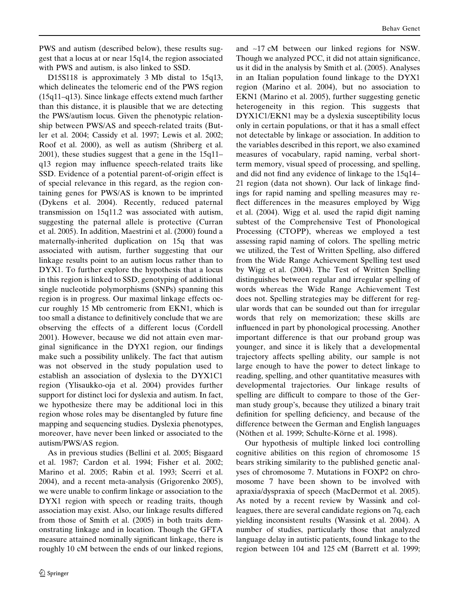PWS and autism (described below), these results suggest that a locus at or near 15q14, the region associated with PWS and autism, is also linked to SSD.

D15S118 is approximately 3 Mb distal to 15q13, which delineates the telomeric end of the PWS region (15q11–q13). Since linkage effects extend much farther than this distance, it is plausible that we are detecting the PWS/autism locus. Given the phenotypic relationship between PWS/AS and speech-related traits (Butler et al. 2004; Cassidy et al. 1997; Lewis et al. 2002; Roof et al. 2000), as well as autism (Shriberg et al. 2001), these studies suggest that a gene in the 15q11– q13 region may influence speech-related traits like SSD. Evidence of a potential parent-of-origin effect is of special relevance in this regard, as the region containing genes for PWS/AS is known to be imprinted (Dykens et al. 2004). Recently, reduced paternal transmission on 15q11.2 was associated with autism, suggesting the paternal allele is protective (Curran et al. 2005). In addition, Maestrini et al. (2000) found a maternally-inherited duplication on 15q that was associated with autism, further suggesting that our linkage results point to an autism locus rather than to DYX1. To further explore the hypothesis that a locus in this region is linked to SSD, genotyping of additional single nucleotide polymorphisms (SNPs) spanning this region is in progress. Our maximal linkage effects occur roughly 15 Mb centromeric from EKN1, which is too small a distance to definitively conclude that we are observing the effects of a different locus (Cordell 2001). However, because we did not attain even marginal significance in the DYX1 region, our findings make such a possibility unlikely. The fact that autism was not observed in the study population used to establish an association of dyslexia to the DYX1C1 region (Ylisaukko-oja et al. 2004) provides further support for distinct loci for dyslexia and autism. In fact, we hypothesize there may be additional loci in this region whose roles may be disentangled by future fine mapping and sequencing studies. Dyslexia phenotypes, moreover, have never been linked or associated to the autism/PWS/AS region.

As in previous studies (Bellini et al. 2005; Bisgaard et al. 1987; Cardon et al. 1994; Fisher et al. 2002; Marino et al. 2005; Rabin et al. 1993; Scerri et al. 2004), and a recent meta-analysis (Grigorenko 2005), we were unable to confirm linkage or association to the DYX1 region with speech or reading traits, though association may exist. Also, our linkage results differed from those of Smith et al. (2005) in both traits demonstrating linkage and in location. Though the GFTA measure attained nominally significant linkage, there is roughly 10 cM between the ends of our linked regions,

and ~17 cM between our linked regions for NSW. Though we analyzed PCC, it did not attain significance, us it did in the analysis by Smith et al. (2005). Analyses in an Italian population found linkage to the DYX1 region (Marino et al. 2004), but no association to EKN1 (Marino et al. 2005), further suggesting genetic heterogeneity in this region. This suggests that DYX1C1/EKN1 may be a dyslexia susceptibility locus only in certain populations, or that it has a small effect not detectable by linkage or association. In addition to the variables described in this report, we also examined measures of vocabulary, rapid naming, verbal shortterm memory, visual speed of processing, and spelling, and did not find any evidence of linkage to the 15q14– 21 region (data not shown). Our lack of linkage findings for rapid naming and spelling measures may reflect differences in the measures employed by Wigg et al. (2004). Wigg et al. used the rapid digit naming subtest of the Comprehensive Test of Phonological Processing (CTOPP), whereas we employed a test assessing rapid naming of colors. The spelling metric we utilized, the Test of Written Spelling, also differed from the Wide Range Achievement Spelling test used by Wigg et al. (2004). The Test of Written Spelling distinguishes between regular and irregular spelling of words whereas the Wide Range Achievement Test does not. Spelling strategies may be different for regular words that can be sounded out than for irregular words that rely on memorization; these skills are influenced in part by phonological processing. Another important difference is that our proband group was younger, and since it is likely that a developmental trajectory affects spelling ability, our sample is not large enough to have the power to detect linkage to reading, spelling, and other quantitative measures with developmental trajectories. Our linkage results of spelling are difficult to compare to those of the German study group's, because they utilized a binary trait definition for spelling deficiency, and because of the difference between the German and English languages (Nöthen et al. 1999; Schulte-Körne et al. 1998).

Our hypothesis of multiple linked loci controlling cognitive abilities on this region of chromosome 15 bears striking similarity to the published genetic analyses of chromosome 7. Mutations in FOXP2 on chromosome 7 have been shown to be involved with apraxia/dyspraxia of speech (MacDermot et al. 2005). As noted by a recent review by Wassink and colleagues, there are several candidate regions on 7q, each yielding inconsistent results (Wassink et al. 2004). A number of studies, particularly those that analyzed language delay in autistic patients, found linkage to the region between 104 and 125 cM (Barrett et al. 1999;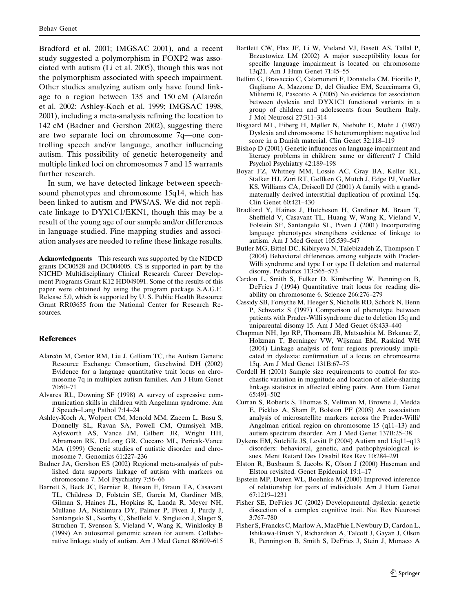Bradford et al. 2001; IMGSAC 2001), and a recent study suggested a polymorphism in FOXP2 was associated with autism (Li et al. 2005), though this was not the polymorphism associated with speech impairment. Other studies analyzing autism only have found linkage to a region between  $135$  and  $150$  cM (Alarcón et al. 2002; Ashley-Koch et al. 1999; IMGSAC 1998, 2001), including a meta-analysis refining the location to 142 cM (Badner and Gershon 2002), suggesting there are two separate loci on chromosome 7q—one controlling speech and/or language, another influencing autism. This possibility of genetic heterogeneity and multiple linked loci on chromosomes 7 and 15 warrants further research.

In sum, we have detected linkage between speechsound phenotypes and chromosome 15q14, which has been linked to autism and PWS/AS. We did not replicate linkage to DYX1C1/EKN1, though this may be a result of the young age of our sample and/or differences in language studied. Fine mapping studies and association analyses are needed to refine these linkage results.

Acknowledgments This research was supported by the NIDCD grants DC00528 and DC004005. CS is supported in part by the NICHD Multidisciplinary Clinical Research Career Development Programs Grant K12 HD049091. Some of the results of this paper were obtained by using the program package S.A.G.E. Release 5.0, which is supported by U. S. Public Health Resource Grant RR03655 from the National Center for Research Resources.

#### **References**

- Alarcón M, Cantor RM, Liu J, Gilliam TC, the Autism Genetic Resource Exchange Consortium, Geschwind DH (2002) Evidence for a language quantitative trait locus on chromosome 7q in multiplex autism families. Am J Hum Genet 70:60–71
- Alvares RL, Downing SF (1998) A survey of expressive communication skills in children with Angelman syndrome. Am J Speech–Lang Pathol 7:14–24
- Ashley-Koch A, Wolpert CM, Menold MM, Zaeem L, Basu S, Donnelly SL, Ravan SA, Powell CM, Qumsiyeh MB, Aylsworth AS, Vance JM, Gilbert JR, Wright HH, Abramson RK, DeLong GR, Cuccaro ML, Pericak-Vance MA (1999) Genetic studies of autistic disorder and chromosome 7. Genomics 61:227–236
- Badner JA, Gershon ES (2002) Regional meta-analysis of published data supports linkage of autism with markers on chromosome 7. Mol Psychiatry 7:56–66
- Barrett S, Beck JC, Bernier R, Bisson E, Braun TA, Casavant TL, Childress D, Folstein SE, Garcia M, Gardiner MB, Gilman S, Haines JL, Hopkins K, Landa R, Meyer NH, Mullane JA, Nishimura DY, Palmer P, Piven J, Purdy J, Santangelo SL, Searby C, Sheffield V, Singleton J, Slager S, Struchen T, Svenson S, Vieland V, Wang K, Winklosky B (1999) An autosomal genomic screen for autism. Collaborative linkage study of autism. Am J Med Genet 88:609–615
- Bartlett CW, Flax JF, Li W, Vieland VJ, Basett AS, Tallal P, Brzustowicz LM (2002) A major susceptibility locus for specific language impairment is located on chromosome 13q21. Am J Hum Genet 71:45–55
- Bellini G, Bravaccio C, Calamoneri F, Donatella CM, Fiorillo P, Gagliano A, Mazzone D, del Giudice EM, Scuccimarra G, Militerni R, Pascotto A (2005) No evidence for association between dyslexia and DYX1C1 functional variants in a group of children and adolescents from Southern Italy. J Mol Neurosci 27:311–314
- Bisgaard ML, Eiberg H, Møller N, Niebuhr E, Mohr J (1987) Dyslexia and chromosome 15 heteromorphism: negative lod score in a Danish material. Clin Genet 32:118–119
- Bishop D (2001) Genetic influences on language impairment and literacy problems in children: same or different? J Child Psychol Psychiatry 42:189–198
- Boyar FZ, Whitney MM, Lossie AC, Gray BA, Keller KL, Stalker HJ, Zori RT, Geffken G, Mutch J, Edge PJ, Voeller KS, Williams CA, Driscoll DJ (2001) A family with a grandmaternally derived interstitial duplication of proximal 15q. Clin Genet 60:421–430
- Bradford Y, Haines J, Hutcheson H, Gardiner M, Braun T, Sheffield V, Casavant TL, Huang W, Wang K, Vieland V, Folstein SE, Santangelo SL, Piven J (2001) Incorporating language phenotypes strengthens evidence of linkage to autism. Am J Med Genet 105:539–547
- Butler MG, Bittel DC, Kibiryeva N, Talebizadeh Z, Thompson T (2004) Behavioral differences among subjects with Prader-Willi syndrome and type I or type II deletion and maternal disomy. Pediatrics 113:565–573
- Cardon L, Smith S, Fulker D, Kimberling W, Pennington B, DeFries J (1994) Quantitative trait locus for reading disability on chromosome 6. Science 266:276–279
- Cassidy SB, Forsythe M, Heeger S, Nicholls RD, Schork N, Benn P, Schwartz S (1997) Comparison of phenotype between patients with Prader-Willi syndrome due to deletion 15q and uniparental disomy 15. Am J Med Genet 68:433–440
- Chapman NH, Igo RP, Thomson JB, Matsushita M, Brkanac Z, Holzman T, Berninger VW, Wijsman EM, Raskind WH (2004) Linkage analysis of four regions previously implicated in dyslexia: confirmation of a locus on chromosome 15q. Am J Med Genet 131B:67–75
- Cordell H (2001) Sample size requirements to control for stochastic variation in magnitude and location of allele-sharing linkage statistics in affected sibling pairs. Ann Hum Genet 65:491–502
- Curran S, Roberts S, Thomas S, Veltman M, Browne J, Medda E, Pickles A, Sham P, Bolston PF (2005) An association analysis of microsatellite markers across the Prader-Willi/ Angelman critical region on chromosome 15 (q11–13) and autism spectrum disorder. Am J Med Genet 137B:25–38
- Dykens EM, Sutcliffe JS, Levitt P (2004) Autism and 15q11–q13 disorders: behavioral, genetic, and pathophysiological issues. Ment Retard Dev Disabil Res Rev 10:284–291
- Elston R, Buxbaum S, Jacobs K, Olson J (2000) Haseman and Elston revisited. Genet Epidemiol 19:1–17
- Epstein MP, Duren WL, Boehnke M (2000) Improved inference of relationship for pairs of individuals. Am J Hum Genet 67:1219–1231
- Fisher SE, DeFries JC (2002) Developmental dyslexia: genetic dissection of a complex cognitive trait. Nat Rev Neurosci 3:767–780
- Fisher S, Francks C, Marlow A, MacPhie I, Newbury D, Cardon L, Ishikawa-Brush Y, Richardson A, Talcott J, Gayan J, Olson R, Pennington B, Smith S, DeFries J, Stein J, Monaco A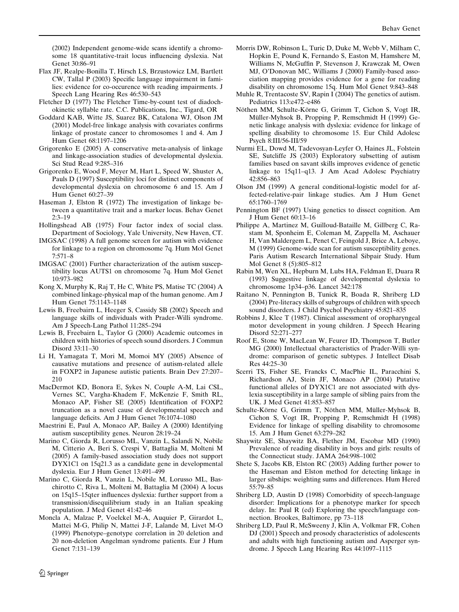(2002) Independent genome-wide scans identify a chromosome 18 quantitative-trait locus influencing dyslexia. Nat Genet 30:86–91

- Flax JF, Realpe-Bonilla T, Hirsch LS, Brzustowicz LM, Bartlett CW, Tallal P (2003) Specific language impairment in families: evidence for co-occurence with reading impairments. J Speech Lang Hearing Res 46:530–543
- Fletcher D (1977) The Fletcher Time-by-count test of diadochokinetic syllable rate. C.C. Publications, Inc., Tigard, OR
- Goddard KAB, Witte JS, Suarez BK, Catalona WJ, Olson JM (2001) Model-free linkage analysis with covariates confirms linkage of prostate cancer to chromosomes 1 and 4. Am J Hum Genet 68:1197–1206
- Grigorenko E (2005) A conservative meta-analysis of linkage and linkage-association studies of developmental dyslexia. Sci Stud Read 9:285–316
- Grigorenko E, Wood F, Meyer M, Hart L, Speed W, Shuster A, Pauls D (1997) Susceptibility loci for distinct components of developmental dyslexia on chromosome 6 and 15. Am J Hum Genet 60:27–39
- Haseman J, Elston R (1972) The investigation of linkage between a quantitative trait and a marker locus. Behav Genet 2:3–19
- Hollingshead AB (1975) Four factor index of social class. Department of Sociology, Yale University, New Haven, CT.
- IMGSAC (1998) A full genome screen for autism with evidence for linkage to a region on chromosome 7q. Hum Mol Genet 7:571–8
- IMGSAC (2001) Further characterization of the autism susceptibility locus AUTS1 on chromosome 7q. Hum Mol Genet 10:973–982
- Kong X, Murphy K, Raj T, He C, White PS, Matise TC (2004) A combined linkage-physical map of the human genome. Am J Hum Genet 75:1143–1148
- Lewis B, Freebairn L, Heeger S, Cassidy SB (2002) Speech and language skills of individuals with Prader-Willi syndrome. Am J Speech-Lang Pathol 11:285–294
- Lewis B, Freebairn L, Taylor G (2000) Academic outcomes in children with histories of speech sound disorders. J Commun Disord 33:11–30
- Li H, Yamagata T, Mori M, Momoi MY (2005) Absence of causative mutations and presence of autism-related allele in FOXP2 in Japanese autistic patients. Brain Dev 27:207– 210
- MacDermot KD, Bonora E, Sykes N, Couple A-M, Lai CSL, Vernes SC, Vargha-Khadem F, McKenzie F, Smith RL, Monaco AP, Fisher SE (2005) Identification of FOXP2 truncation as a novel cause of developmental speech and language deficits. Am J Hum Genet 76:1074–1080
- Maestrini E, Paul A, Monaco AP, Bailey A (2000) Identifying autism susceptibility genes. Neuron 28:19–24
- Marino C, Giorda R, Lorusso ML, Vanzin L, Salandi N, Nobile M, Citterio A, Beri S, Crespi V, Battaglia M, Molteni M (2005) A family-based association study does not support DYX1C1 on 15q21.3 as a candidate gene in developmental dyslexia. Eur J Hum Genet 13:491–499
- Marino C, Giorda R, Vanzin L, Nobile M, Lorusso ML, Baschirotto C, Riva L, Molteni M, Battaglia M (2004) A locus on 15q15–15qter influences dyslexia: further support from a transmission/disequilibrium study in an Italian speaking population. J Med Genet 41:42–46
- Moncla A, Malzac P, Voelckel M-A, Auquier P, Girardot L, Mattei M-G, Philip N, Mattei J-F, Lalande M, Livet M-O (1999) Phenotype–genotype correlation in 20 deletion and 20 non-deletion Angelman syndrome patients. Eur J Hum Genet 7:131–139
- Morris DW, Robinson L, Turic D, Duke M, Webb V, Milham C, Hopkin E, Pound K, Fernando S, Easton M, Hamshere M, Williams N, McGuffin P, Stevenson J, Krawczak M, Owen MJ, O'Donovan MC, Williams J (2000) Family-based association mapping provides evidence for a gene for reading disability on chromosome 15q. Hum Mol Genet 9:843–848
- Muhle R, Trentacoste SV, Rapin I (2004) The genetics of autism. Pediatrics 113:e472–e486
- Nöthen MM, Schulte-Körne G, Grimm T, Cichon S, Vogt IR, Müller-Myhsok B, Propping P, Remschmidt H (1999) Genetic linkage analysis with dyslexia: evidence for linkage of spelling disability to chromosome 15. Eur Child Adolesc Psych 8:III/56-III/59
- Nurmi EL, Dowd M, Tadevosyan-Leyfer O, Haines JL, Folstein SE, Sutcliffe JS (2003) Exploratory subsetting of autism families based on savant skills improves evidence of genetic linkage to 15q11–q13. J Am Acad Adolesc Psychiatry 42:856–863
- Olson JM (1999) A general conditional-logistic model for affected-relative-pair linkage studies. Am J Hum Genet 65:1760–1769
- Pennington BF (1997) Using genetics to dissect cognition. Am J Hum Genet 60:13–16
- Philippe A, Martinez M, Guilloud-Bataille M, Gillberg C, Rastam M, Sponheim E, Coleman M, Zappella M, Aschauer H, Van Maldergem L, Penet C, Feingold J, Brice A, Leboye, M (1999) Genome-wide scan for autism susceptibility genes. Paris Autism Research International Sibpair Study. Hum Mol Genet 8 (5):805–812
- Rabin M, Wen XL, Hepburn M, Lubs HA, Feldman E, Duara R (1993) Suggestive linkage of developmental dyslexia to chromosome 1p34–p36. Lancet 342:178
- Raitano N, Pennington B, Tunick R, Boada R, Shriberg LD (2004) Pre-literacy skills of subgroups of children with speech sound disorders. J Child Psychol Psychiatry 45:821–835
- Robbins J, Klee T (1987). Clinical assessment of oropharyngeal motor development in young children. J Speech Hearing Disord 52:271–277
- Roof E, Stone W, MacLean W, Feurer ID, Thompson T, Butler MG (2000) Intellectual characteristics of Prader-Willi syndrome: comparison of genetic subtypes. J Intellect Disab Res 44:25–30
- Scerri TS, Fisher SE, Francks C, MacPhie IL, Paracchini S, Richardson AJ, Stein JF, Monaco AP (2004) Putative functional alleles of DYX1C1 are not associated with dyslexia susceptibility in a large sample of sibling pairs from the UK. J Med Genet 41:853–857
- Schulte-Körne G, Grimm T, Nöthen MM, Müller-Myhsok B, Cichon S, Vogt IR, Propping P, Remschmidt H (1998) Evidence for linkage of spelling disability to chromosome 15. Am J Hum Genet 63:279–282
- Shaywitz SE, Shaywitz BA, Flether JM, Escobar MD (1990) Prevalence of reading disability in boys and girls: results of the Connecticut study. JAMA 264:998–1002
- Shete S, Jacobs KB, Elston RC (2003) Adding further power to the Haseman and Elston method for detecting linkage in larger sibships: weighting sums and differences. Hum Hered 55:79–85
- Shriberg LD, Austin D (1998) Comorbidity of speech-language disorder: Implications for a phenotype marker for speech delay. In: Paul R (ed) Exploring the speech/language connection. Brookes, Baltimore, pp 73–118
- Shriberg LD, Paul R, McSweeny J, Klin A, Volkmar FR, Cohen DJ (2001) Speech and prosody characteristics of adolescents and adults with high functioning autism and Asperger syndrome. J Speech Lang Hearing Res 44:1097–1115